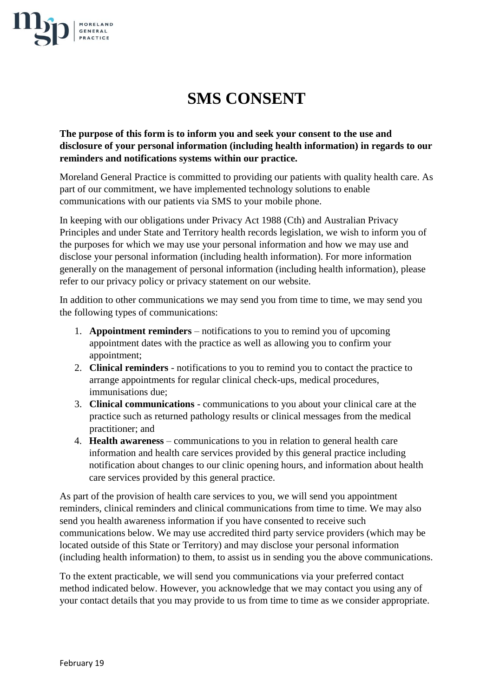

## **SMS CONSENT**

**The purpose of this form is to inform you and seek your consent to the use and disclosure of your personal information (including health information) in regards to our reminders and notifications systems within our practice.**

Moreland General Practice is committed to providing our patients with quality health care. As part of our commitment, we have implemented technology solutions to enable communications with our patients via SMS to your mobile phone.

In keeping with our obligations under Privacy Act 1988 (Cth) and Australian Privacy Principles and under State and Territory health records legislation, we wish to inform you of the purposes for which we may use your personal information and how we may use and disclose your personal information (including health information). For more information generally on the management of personal information (including health information), please refer to our privacy policy or privacy statement on our website.

In addition to other communications we may send you from time to time, we may send you the following types of communications:

- 1. **Appointment reminders** notifications to you to remind you of upcoming appointment dates with the practice as well as allowing you to confirm your appointment;
- 2. **Clinical reminders** notifications to you to remind you to contact the practice to arrange appointments for regular clinical check-ups, medical procedures, immunisations due;
- 3. **Clinical communications** communications to you about your clinical care at the practice such as returned pathology results or clinical messages from the medical practitioner; and
- 4. **Health awareness** communications to you in relation to general health care information and health care services provided by this general practice including notification about changes to our clinic opening hours, and information about health care services provided by this general practice.

As part of the provision of health care services to you, we will send you appointment reminders, clinical reminders and clinical communications from time to time. We may also send you health awareness information if you have consented to receive such communications below. We may use accredited third party service providers (which may be located outside of this State or Territory) and may disclose your personal information (including health information) to them, to assist us in sending you the above communications.

To the extent practicable, we will send you communications via your preferred contact method indicated below. However, you acknowledge that we may contact you using any of your contact details that you may provide to us from time to time as we consider appropriate.